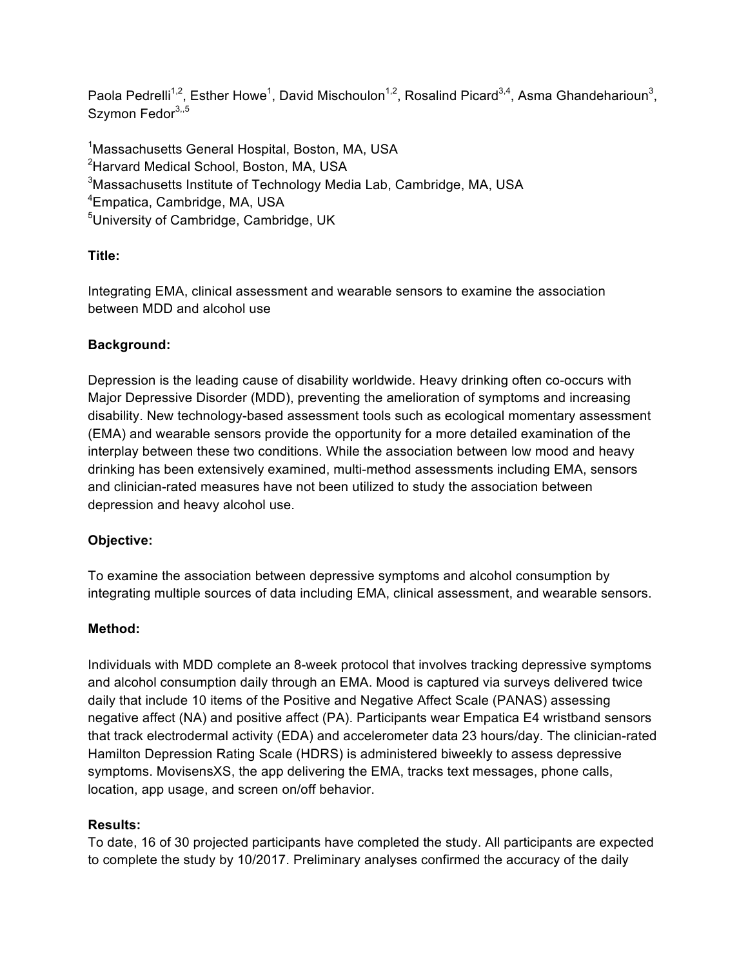Paola Pedrelli<sup>1,2</sup>, Esther Howe<sup>1</sup>, David Mischoulon<sup>1,2</sup>, Rosalind Picard<sup>3,4</sup>, Asma Ghandeharioun<sup>3</sup>, Szymon Fedor<sup>3,,5</sup>

<sup>1</sup>Massachusetts General Hospital, Boston, MA, USA <sup>2</sup>Harvard Medical School, Boston, MA, USA  ${}^{3}$ Massachusetts Institute of Technology Media Lab, Cambridge, MA, USA 4 Empatica, Cambridge, MA, USA <sup>5</sup>University of Cambridge, Cambridge, UK

## **Title:**

Integrating EMA, clinical assessment and wearable sensors to examine the association between MDD and alcohol use

## **Background:**

Depression is the leading cause of disability worldwide. Heavy drinking often co-occurs with Major Depressive Disorder (MDD), preventing the amelioration of symptoms and increasing disability. New technology-based assessment tools such as ecological momentary assessment (EMA) and wearable sensors provide the opportunity for a more detailed examination of the interplay between these two conditions. While the association between low mood and heavy drinking has been extensively examined, multi-method assessments including EMA, sensors and clinician-rated measures have not been utilized to study the association between depression and heavy alcohol use.

# **Objective:**

To examine the association between depressive symptoms and alcohol consumption by integrating multiple sources of data including EMA, clinical assessment, and wearable sensors.

### **Method:**

Individuals with MDD complete an 8-week protocol that involves tracking depressive symptoms and alcohol consumption daily through an EMA. Mood is captured via surveys delivered twice daily that include 10 items of the Positive and Negative Affect Scale (PANAS) assessing negative affect (NA) and positive affect (PA). Participants wear Empatica E4 wristband sensors that track electrodermal activity (EDA) and accelerometer data 23 hours/day. The clinician-rated Hamilton Depression Rating Scale (HDRS) is administered biweekly to assess depressive symptoms. MovisensXS, the app delivering the EMA, tracks text messages, phone calls, location, app usage, and screen on/off behavior.

### **Results:**

To date, 16 of 30 projected participants have completed the study. All participants are expected to complete the study by 10/2017. Preliminary analyses confirmed the accuracy of the daily